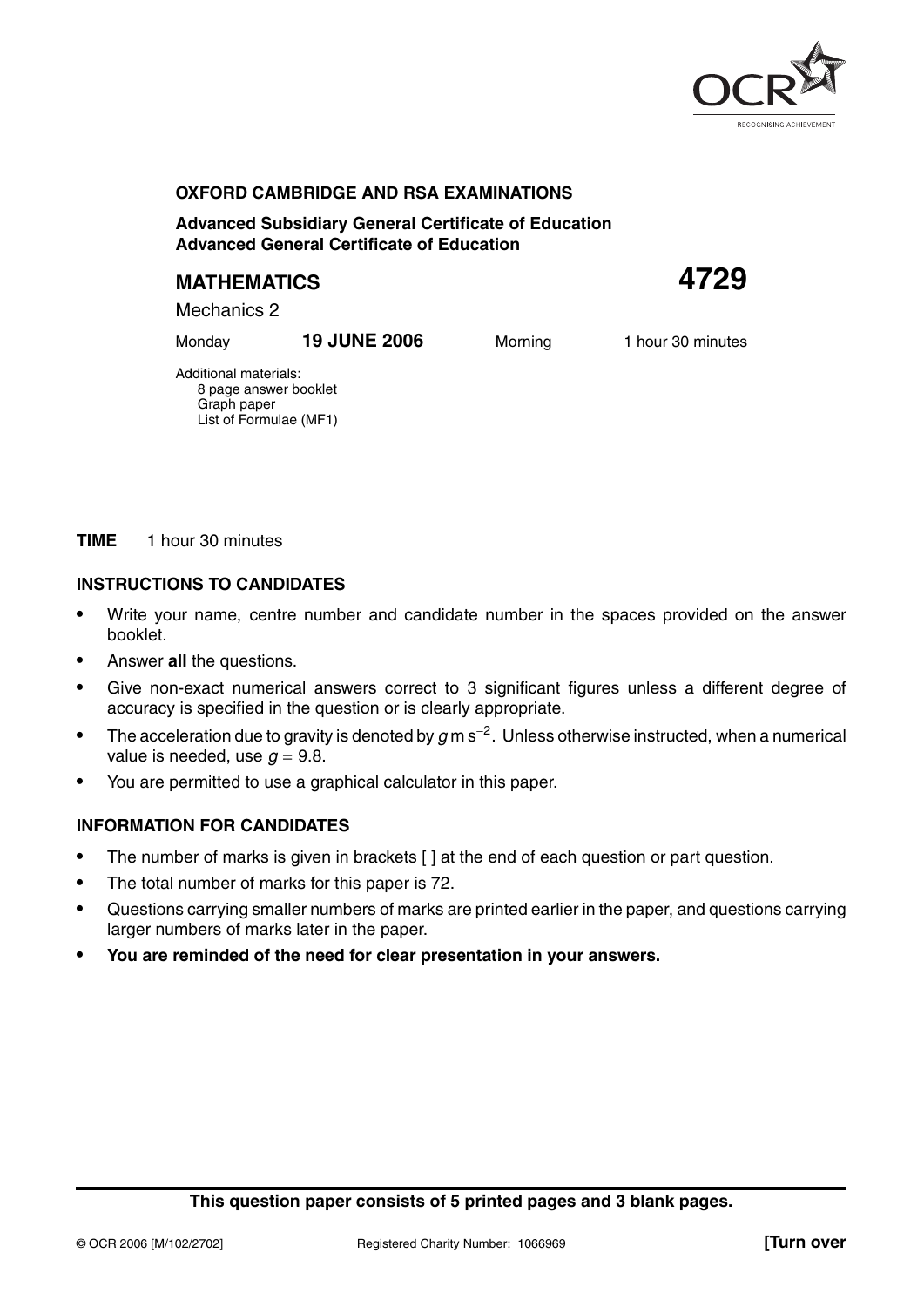

#### **OXFORD CAMBRIDGE AND RSA EXAMINATIONS**

**Advanced Subsidiary General Certificate of Education Advanced General Certificate of Education**

# **MATHEMATICS 4729**

Mechanics 2

Monday **19 JUNE 2006** Morning 1 hour 30 minutes

Additional materials: 8 page answer booklet Graph paper List of Formulae (MF1)

**TIME** 1 hour 30 minutes

### **INSTRUCTIONS TO CANDIDATES**

- **•** Write your name, centre number and candidate number in the spaces provided on the answer booklet.
- **•** Answer **all** the questions.
- **•** Give non-exact numerical answers correct to 3 significant figures unless a different degree of accuracy is specified in the question or is clearly appropriate.
- **•** The acceleration due to gravity is denoted by <sup>g</sup> m s<sup>−</sup>2. Unless otherwise instructed, when a numerical value is needed, use  $q = 9.8$ .
- **•** You are permitted to use a graphical calculator in this paper.

### **INFORMATION FOR CANDIDATES**

- **•** The number of marks is given in brackets [ ] at the end of each question or part question.
- **•** The total number of marks for this paper is 72.
- **•** Questions carrying smaller numbers of marks are printed earlier in the paper, and questions carrying larger numbers of marks later in the paper.
- **• You are reminded of the need for clear presentation in your answers.**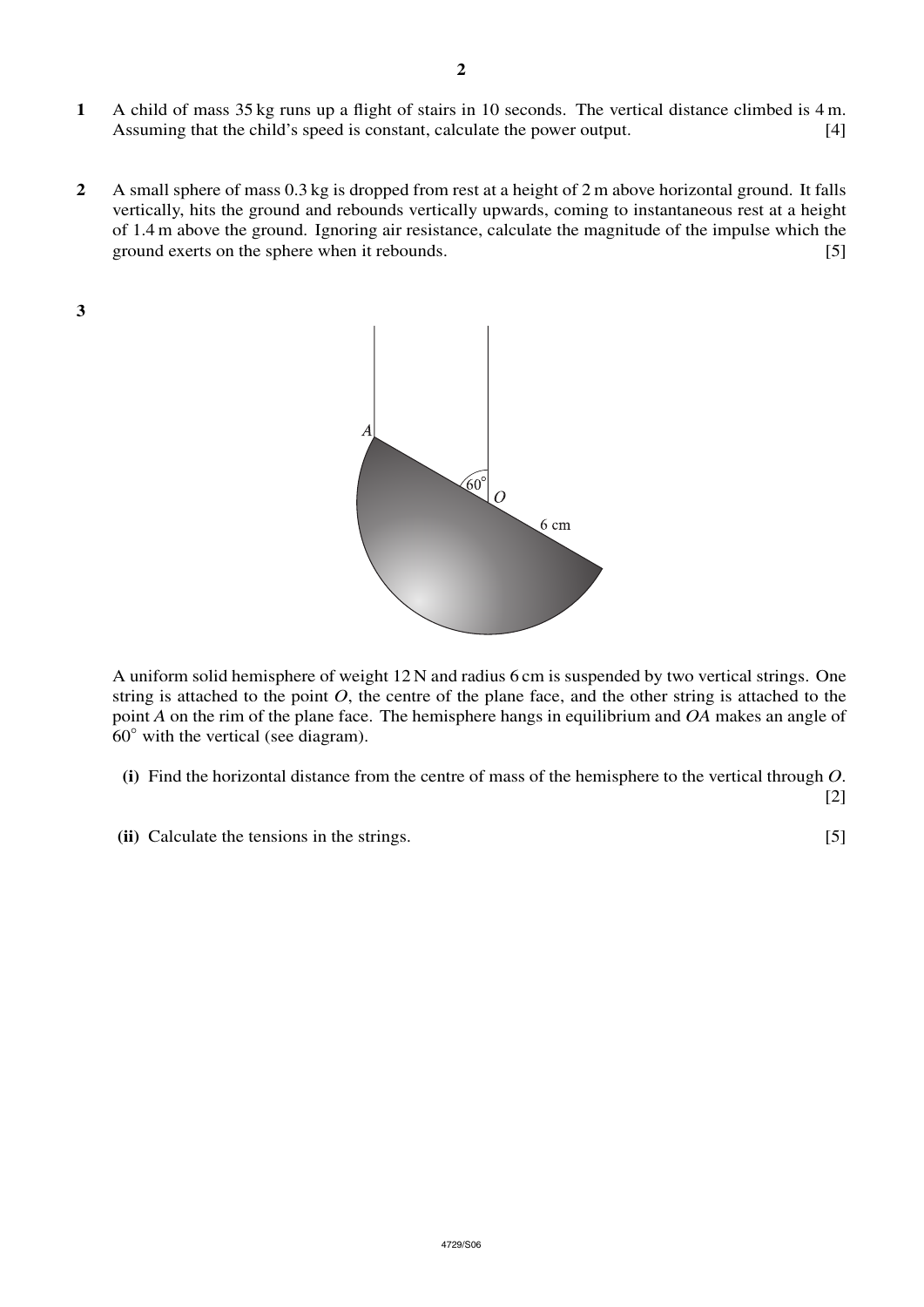**2** A small sphere of mass 0.3 kg is dropped from rest at a height of 2 m above horizontal ground. It falls vertically, hits the ground and rebounds vertically upwards, coming to instantaneous rest at a height of 1.4 m above the ground. Ignoring air resistance, calculate the magnitude of the impulse which the ground exerts on the sphere when it rebounds. [5]





A uniform solid hemisphere of weight 12 N and radius 6 cm is suspended by two vertical strings. One string is attached to the point  $O$ , the centre of the plane face, and the other string is attached to the point *A* on the rim of the plane face. The hemisphere hangs in equilibrium and *OA* makes an angle of  $60^\circ$  with the vertical (see diagram).

**(i)** Find the horizontal distance from the centre of mass of the hemisphere to the vertical through *O*.

[2]

**(ii)** Calculate the tensions in the strings. [5]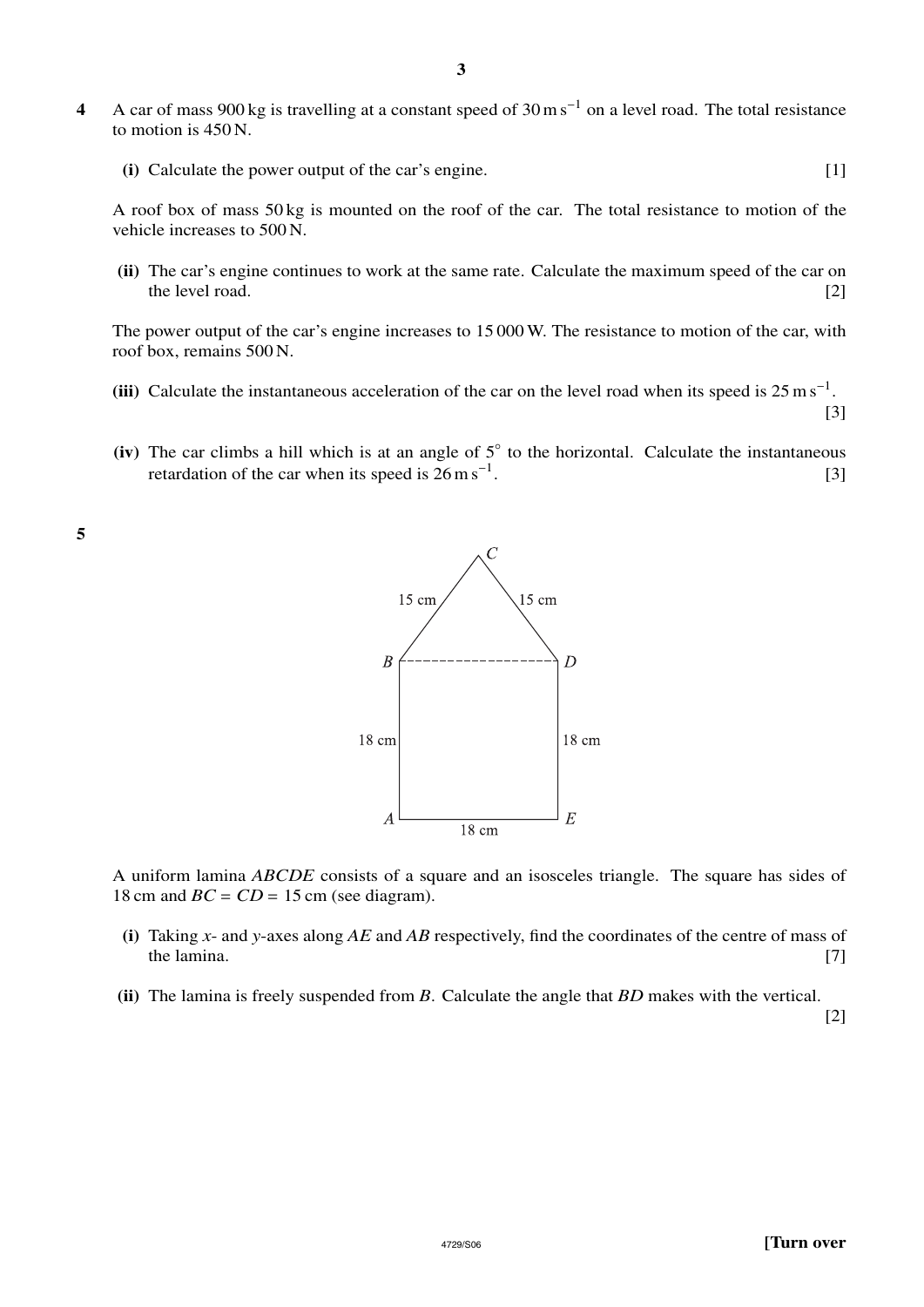- **4** A car of mass 900 kg is travelling at a constant speed of 30 m s<sup>−</sup><sup>1</sup> on a level road. The total resistance to motion is 450 N.
	- **(i)** Calculate the power output of the car's engine. [1]

A roof box of mass 50 kg is mounted on the roof of the car. The total resistance to motion of the vehicle increases to 500 N.

**(ii)** The car's engine continues to work at the same rate. Calculate the maximum speed of the car on the level road.  $[2]$ 

The power output of the car's engine increases to 15 000 W. The resistance to motion of the car, with roof box, remains 500 N.

(iii) Calculate the instantaneous acceleration of the car on the level road when its speed is  $25 \text{ m s}^{-1}$ .

[3]

**(iv)** The car climbs a hill which is at an angle of 5◦ to the horizontal. Calculate the instantaneous retardation of the car when its speed is  $26 \text{ m s}^{-1}$ . .  $[3]$ 

**5**



A uniform lamina *ABCDE* consists of a square and an isosceles triangle. The square has sides of 18 cm and  $BC = CD = 15$  cm (see diagram).

- **(i)** Taking *x* and *y*-axes along *AE* and *AB* respectively, find the coordinates of the centre of mass of the lamina. [7]
- **(ii)** The lamina is freely suspended from *B*. Calculate the angle that *BD* makes with the vertical.

[2]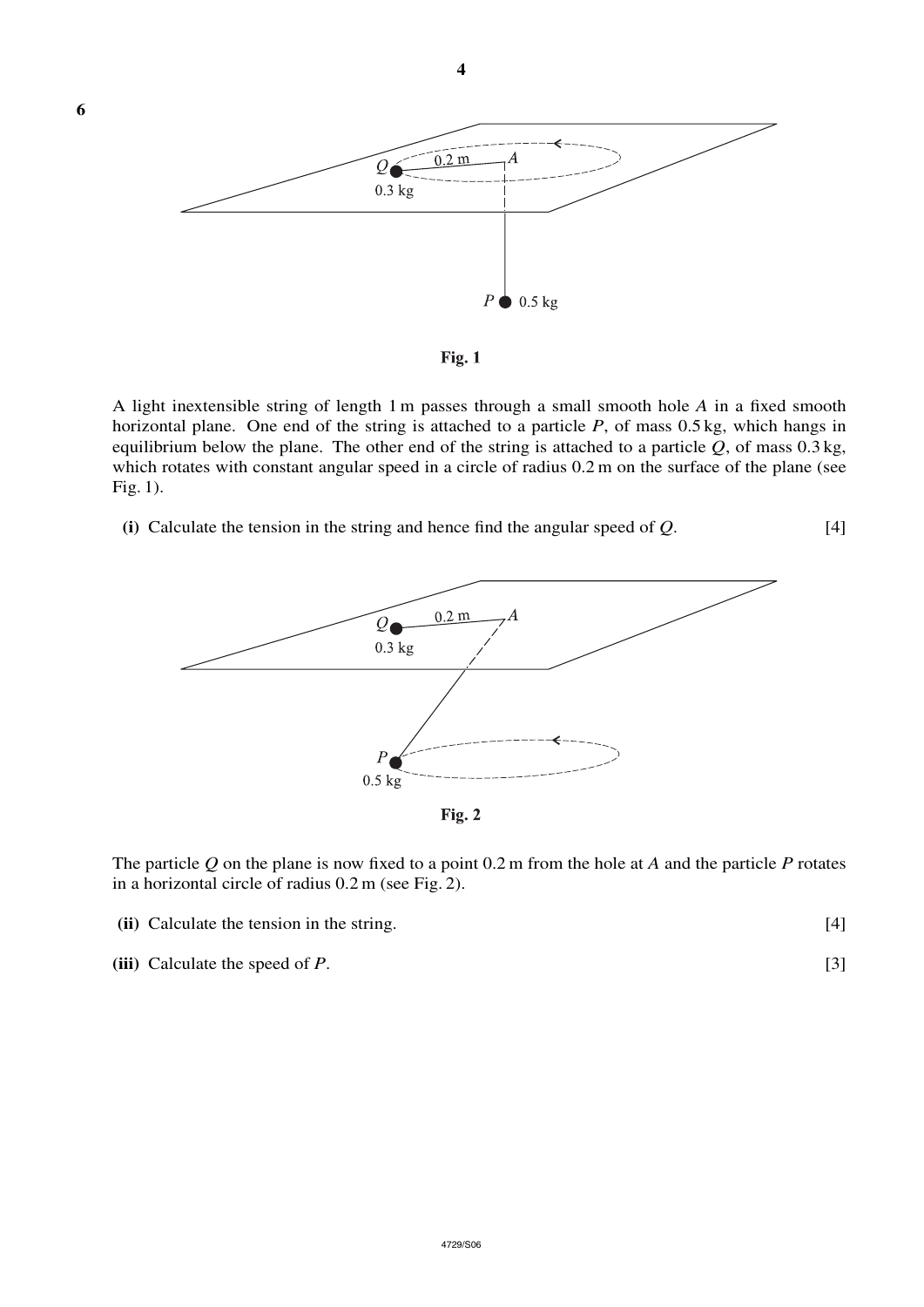

Fig. 1

A light inextensible string of length 1 m passes through a small smooth hole *A* in a fixed smooth horizontal plane. One end of the string is attached to a particle *P*, of mass 0.5 kg, which hangs in equilibrium below the plane. The other end of the string is attached to a particle  $Q$ , of mass  $0.3 \text{ kg}$ , which rotates with constant angular speed in a circle of radius  $0.2$  m on the surface of the plane (see Fig. 1).

**(i)** Calculate the tension in the string and hence find the angular speed of *Q*. [4]



Fig. 2

The particle *Q* on the plane is now fixed to a point 0.2 m from the hole at *A* and the particle *P* rotates in a horizontal circle of radius 0.2 m (see Fig. 2).

| (ii) Calculate the tension in the string. |  |
|-------------------------------------------|--|
|                                           |  |

**(iii)** Calculate the speed of *P*. [3]

**6**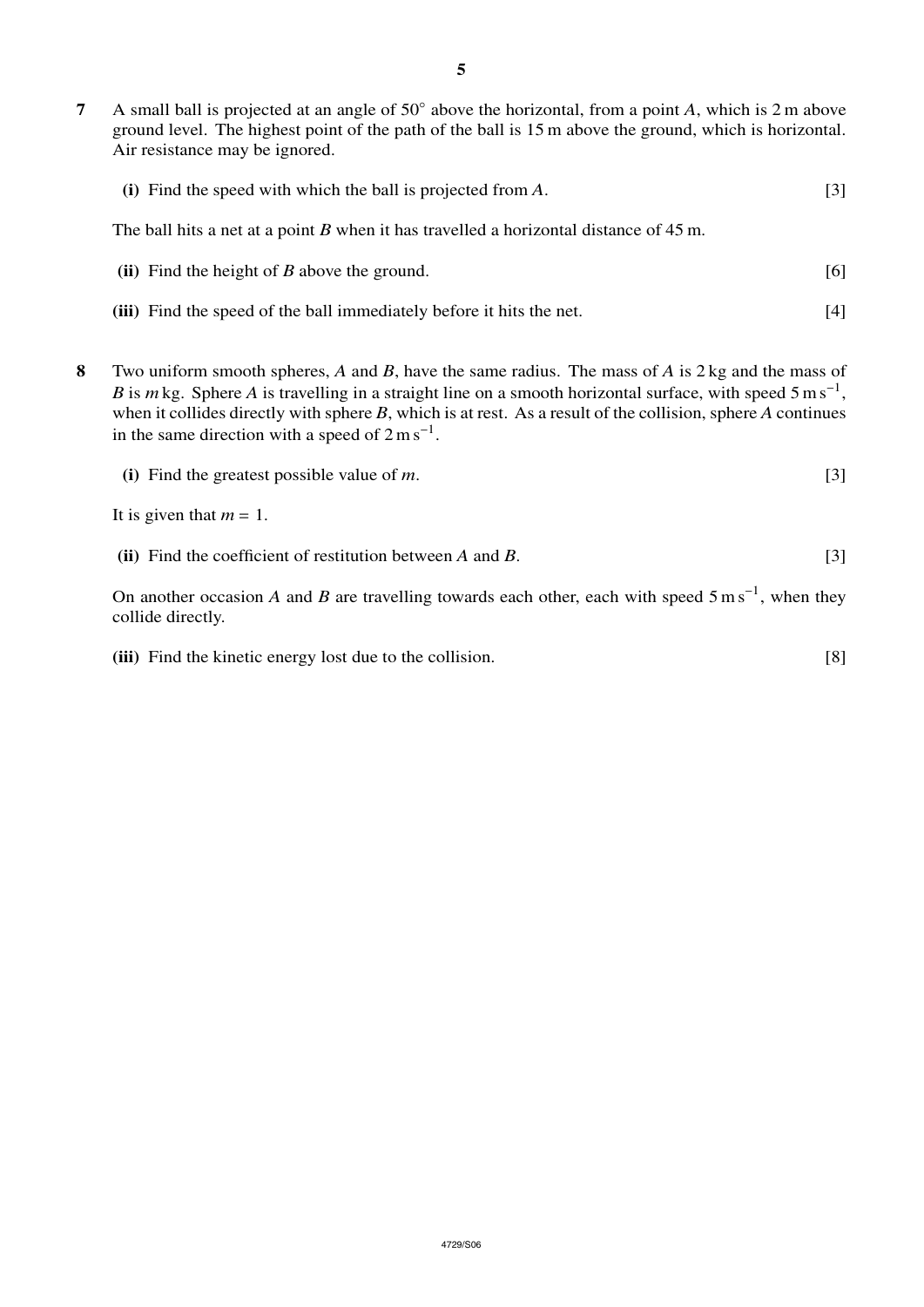**7** A small ball is projected at an angle of 50◦ above the horizontal, from a point *A*, which is 2 m above ground level. The highest point of the path of the ball is 15 m above the ground, which is horizontal. Air resistance may be ignored.

|   | (i) Find the speed with which the ball is projected from $A$ .                                                                                                                                                                                                                                                                                                                                                           | $\lfloor 3 \rfloor$ |
|---|--------------------------------------------------------------------------------------------------------------------------------------------------------------------------------------------------------------------------------------------------------------------------------------------------------------------------------------------------------------------------------------------------------------------------|---------------------|
|   | The ball hits a net at a point $B$ when it has travelled a horizontal distance of 45 m.                                                                                                                                                                                                                                                                                                                                  |                     |
|   | (ii) Find the height of $B$ above the ground.                                                                                                                                                                                                                                                                                                                                                                            | [6]                 |
|   | (iii) Find the speed of the ball immediately before it hits the net.                                                                                                                                                                                                                                                                                                                                                     | [4]                 |
| 8 | Two uniform smooth spheres, A and B, have the same radius. The mass of A is $2 \text{ kg}$ and the mass of<br>B is m kg. Sphere A is travelling in a straight line on a smooth horizontal surface, with speed $5 \text{ m s}^{-1}$ ,<br>when it collides directly with sphere $B$ , which is at rest. As a result of the collision, sphere $A$ continues<br>in the same direction with a speed of $2 \text{ m s}^{-1}$ . |                     |

It is given that  $m = 1$ .

**(ii)** Find the coefficient of restitution between *A* and *B*. [3]

On another occasion *A* and *B* are travelling towards each other, each with speed  $5 \text{ m s}^{-1}$ , when they collide directly.

**(iii)** Find the kinetic energy lost due to the collision. [8]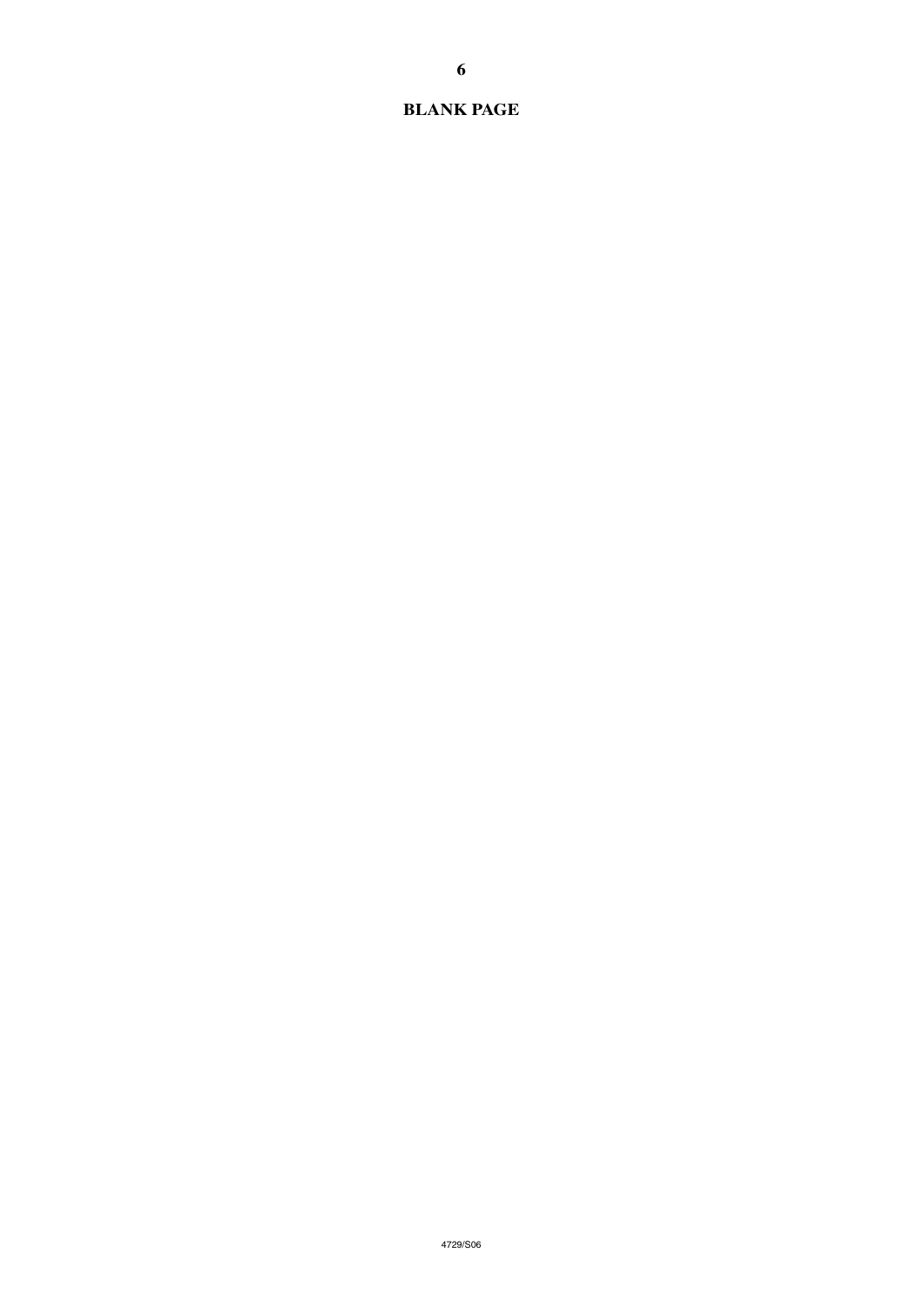# **BLANK PAGE**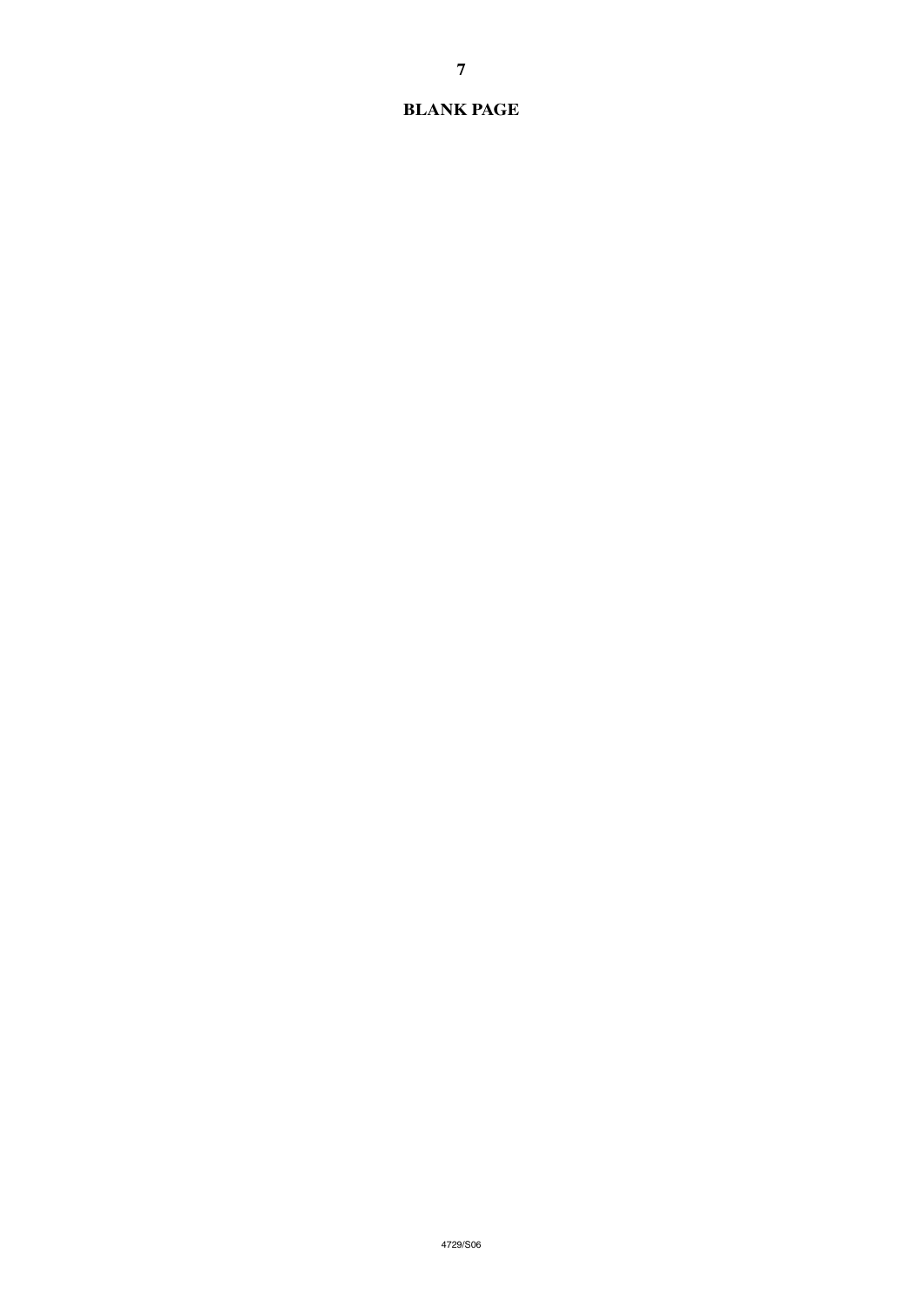# **BLANK PAGE**